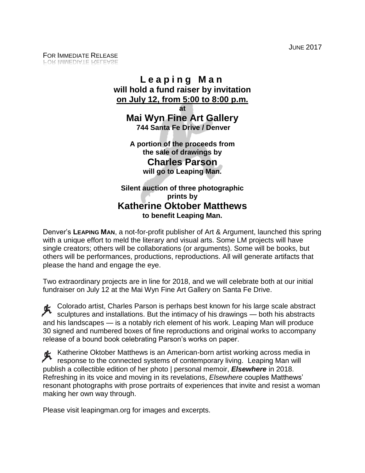JUNE 2017

## **L e a p i n g M a n will hold a fund raiser by invitation on July 12, from 5:00 to 8:00 p.m.**

**at**

**Mai Wyn Fine Art Gallery 744 Santa Fe Drive / Denver**

**A portion of the proceeds from the sale of drawings by Charles Parson will go to Leaping Man.**

**Silent auction of three photographic prints by Katherine Oktober Matthews to benefit Leaping Man.**

Denver's **LEAPING MAN**, a not-for-profit publisher of Art & Argument, launched this spring with a unique effort to meld the literary and visual arts. Some LM projects will have single creators; others will be collaborations (or arguments). Some will be books, but others will be performances, productions, reproductions. All will generate artifacts that please the hand and engage the eye.

Two extraordinary projects are in line for 2018, and we will celebrate both at our initial fundraiser on July 12 at the Mai Wyn Fine Art Gallery on Santa Fe Drive.

Colorado artist, Charles Parson is perhaps best known for his large scale abstract sculptures and installations. But the intimacy of his drawings — both his abstracts and his landscapes — is a notably rich element of his work. Leaping Man will produce 30 signed and numbered boxes of fine reproductions and original works to accompany release of a bound book celebrating Parson's works on paper.

Katherine Oktober Matthews is an American-born artist working across media in response to the connected systems of contemporary living. Leaping Man will publish a collectible edition of her photo | personal memoir, *Elsewhere* in 2018. Refreshing in its voice and moving in its revelations, *Elsewhere* couples Matthews' resonant photographs with prose portraits of experiences that invite and resist a woman making her own way through.

Please visit leapingman.org for images and excerpts.